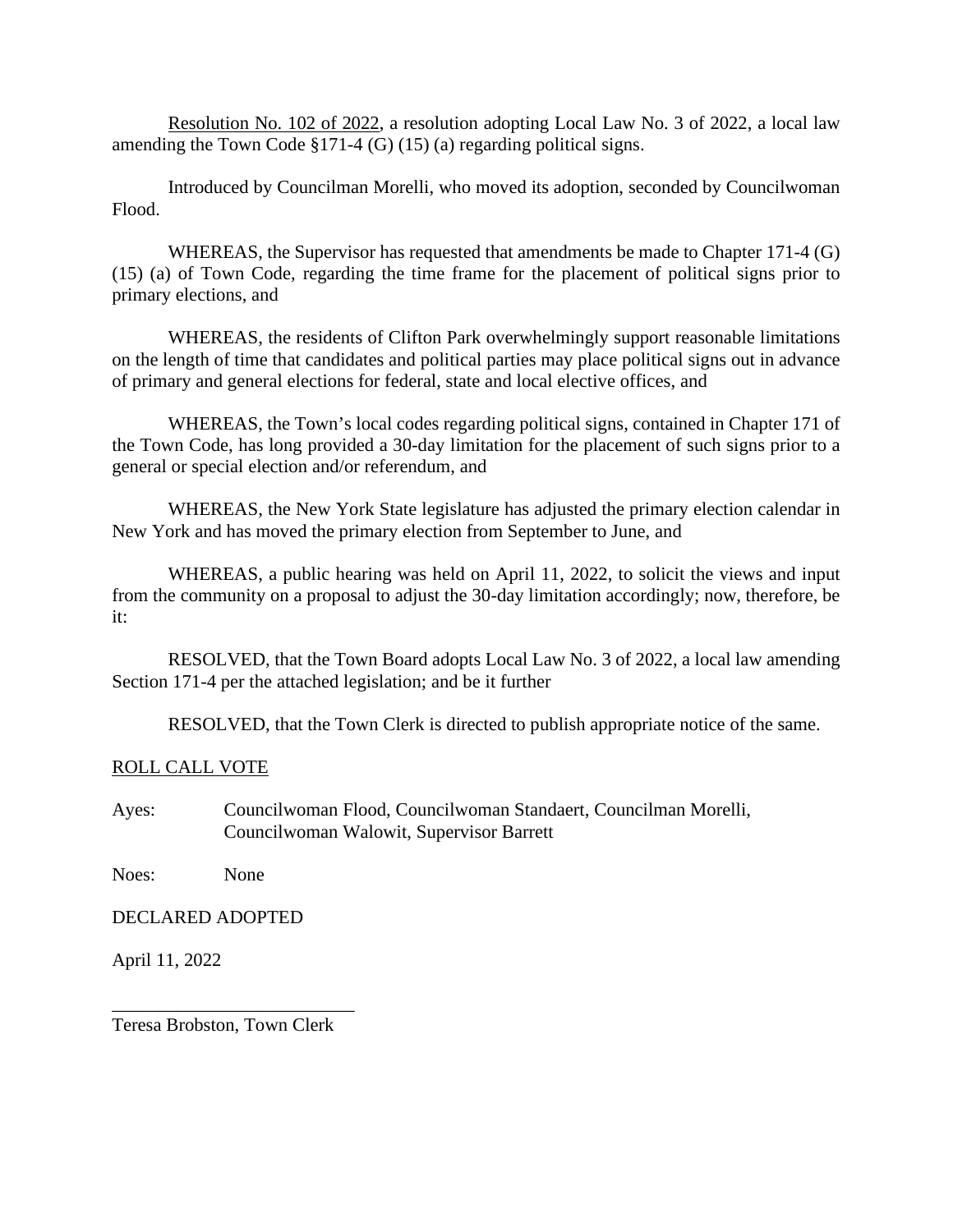Resolution No. 102 of 2022, a resolution adopting Local Law No. 3 of 2022, a local law amending the Town Code §171-4 (G) (15) (a) regarding political signs.

Introduced by Councilman Morelli, who moved its adoption, seconded by Councilwoman Flood.

WHEREAS, the Supervisor has requested that amendments be made to Chapter 171-4 (G) (15) (a) of Town Code, regarding the time frame for the placement of political signs prior to primary elections, and

WHEREAS, the residents of Clifton Park overwhelmingly support reasonable limitations on the length of time that candidates and political parties may place political signs out in advance of primary and general elections for federal, state and local elective offices, and

WHEREAS, the Town's local codes regarding political signs, contained in Chapter 171 of the Town Code, has long provided a 30-day limitation for the placement of such signs prior to a general or special election and/or referendum, and

WHEREAS, the New York State legislature has adjusted the primary election calendar in New York and has moved the primary election from September to June, and

WHEREAS, a public hearing was held on April 11, 2022, to solicit the views and input from the community on a proposal to adjust the 30-day limitation accordingly; now, therefore, be it:

RESOLVED, that the Town Board adopts Local Law No. 3 of 2022, a local law amending Section 171-4 per the attached legislation; and be it further

RESOLVED, that the Town Clerk is directed to publish appropriate notice of the same.

## ROLL CALL VOTE

Ayes: Councilwoman Flood, Councilwoman Standaert, Councilman Morelli, Councilwoman Walowit, Supervisor Barrett

Noes: None

DECLARED ADOPTED

April 11, 2022

\_\_\_\_\_\_\_\_\_\_\_\_\_\_\_\_\_\_\_\_\_\_\_\_\_\_ Teresa Brobston, Town Clerk